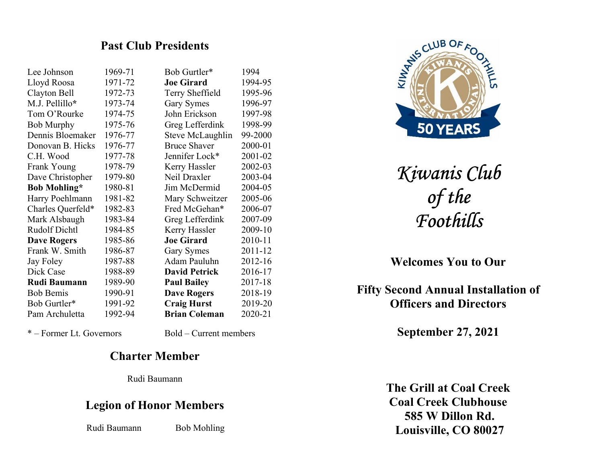### Past Club Presidents

| Lee Johnson          | 1969-71 | Bob Gurtler*            | 1994    |
|----------------------|---------|-------------------------|---------|
| Lloyd Roosa          | 1971-72 | <b>Joe Girard</b>       | 1994-95 |
| Clayton Bell         | 1972-73 | Terry Sheffield         | 1995-96 |
| M.J. Pellillo*       | 1973-74 | Gary Symes              | 1996-97 |
| Tom O'Rourke         | 1974-75 | John Erickson           | 1997-98 |
| <b>Bob Murphy</b>    | 1975-76 | Greg Lefferdink         | 1998-99 |
| Dennis Bloemaker     | 1976-77 | <b>Steve McLaughlin</b> | 99-2000 |
| Donovan B. Hicks     | 1976-77 | <b>Bruce Shaver</b>     | 2000-01 |
| C.H. Wood            | 1977-78 | Jennifer Lock*          | 2001-02 |
| Frank Young          | 1978-79 | Kerry Hassler           | 2002-03 |
| Dave Christopher     | 1979-80 | Neil Draxler            | 2003-04 |
| <b>Bob Mohling*</b>  | 1980-81 | Jim McDermid            | 2004-05 |
| Harry Poehlmann      | 1981-82 | Mary Schweitzer         | 2005-06 |
| Charles Querfeld*    | 1982-83 | Fred McGehan*           | 2006-07 |
| Mark Alsbaugh        | 1983-84 | Greg Lefferdink         | 2007-09 |
| <b>Rudolf Dichtl</b> | 1984-85 | Kerry Hassler           | 2009-10 |
| <b>Dave Rogers</b>   | 1985-86 | <b>Joe Girard</b>       | 2010-11 |
| Frank W. Smith       | 1986-87 | Gary Symes              | 2011-12 |
| Jay Foley            | 1987-88 | Adam Pauluhn            | 2012-16 |
| Dick Case            | 1988-89 | <b>David Petrick</b>    | 2016-17 |
| <b>Rudi Baumann</b>  | 1989-90 | <b>Paul Bailey</b>      | 2017-18 |
| <b>Bob Bemis</b>     | 1990-91 | <b>Dave Rogers</b>      | 2018-19 |
| Bob Gurtler*         | 1991-92 | <b>Craig Hurst</b>      | 2019-20 |
| Pam Archuletta       | 1992-94 | <b>Brian Coleman</b>    | 2020-21 |
|                      |         |                         |         |

E ANS CLUB OF 50 YEARS

> Kiwanis Club of the Foothills

Welcomes You to Our

Fifty Second Annual Installation of Officers and Directors

September 27, 2021

The Grill at Coal Creek Coal Creek Clubhouse 585 W Dillon Rd. Louisville, CO 80027

\* – Former Lt. Governors Bold – Current members

### Charter Member

Rudi Baumann

## Legion of Honor Members

Rudi Baumann Bob Mohling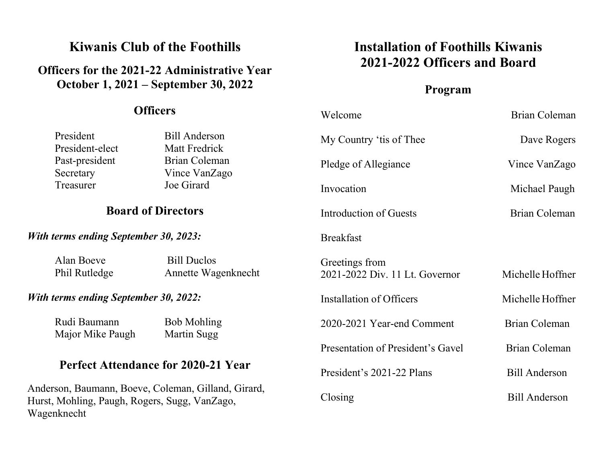# Kiwanis Club of the Foothills

# Officers for the 2021-22 Administrative Year October 1, 2021 – September 30, 2022

### $\Omega$ fficers

# Installation of Foothills Kiwanis 2021-2022 Officers and Board

## Program

| <b>UHICERS</b>                                                                                                      |                                            | Welcome                                          | <b>Brian Coleman</b> |
|---------------------------------------------------------------------------------------------------------------------|--------------------------------------------|--------------------------------------------------|----------------------|
| President<br>President-elect                                                                                        | <b>Bill Anderson</b><br>Matt Fredrick      | My Country 'tis of Thee                          | Dave Rogers          |
| Past-president<br>Secretary                                                                                         | <b>Brian Coleman</b><br>Vince VanZago      | Pledge of Allegiance                             | Vince VanZago        |
| Treasurer                                                                                                           | Joe Girard                                 | Invocation                                       | Michael Paugh        |
| <b>Board of Directors</b>                                                                                           |                                            | Introduction of Guests                           | Brian Coleman        |
| <b>With terms ending September 30, 2023:</b>                                                                        |                                            | <b>Breakfast</b>                                 |                      |
| Alan Boeve<br>Phil Rutledge                                                                                         | <b>Bill Duclos</b><br>Annette Wagenknecht  | Greetings from<br>2021-2022 Div. 11 Lt. Governor | Michelle Hoffner     |
| <b>With terms ending September 30, 2022:</b>                                                                        |                                            | Installation of Officers                         | Michelle Hoffner     |
| Rudi Baumann<br>Major Mike Paugh                                                                                    | <b>Bob Mohling</b><br>Martin Sugg          | 2020-2021 Year-end Comment                       | <b>Brian Coleman</b> |
|                                                                                                                     |                                            | Presentation of President's Gavel                | <b>Brian Coleman</b> |
|                                                                                                                     | <b>Perfect Attendance for 2020-21 Year</b> | President's 2021-22 Plans                        | <b>Bill Anderson</b> |
| Anderson, Baumann, Boeve, Coleman, Gilland, Girard,<br>Hurst, Mohling, Paugh, Rogers, Sugg, VanZago,<br>Wagenknecht |                                            | Closing                                          | <b>Bill Anderson</b> |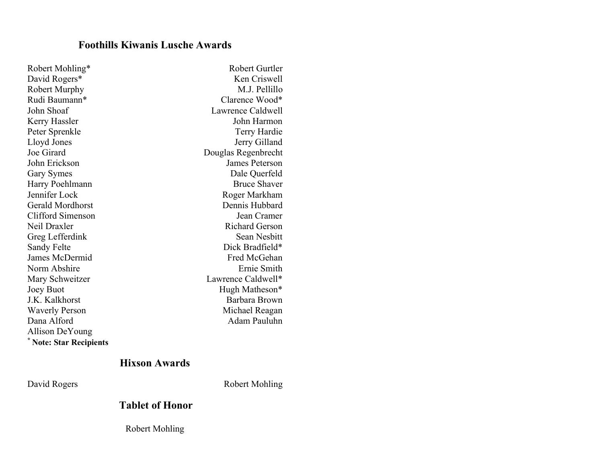### Foothills Kiwanis Lusche Awards

| Robert Mohling*              | Robert Gurtler        |
|------------------------------|-----------------------|
| David Rogers*                | Ken Criswell          |
| <b>Robert Murphy</b>         | M.J. Pellillo         |
| Rudi Baumann*                | Clarence Wood*        |
| John Shoaf                   | Lawrence Caldwell     |
| Kerry Hassler                | John Harmon           |
| Peter Sprenkle               | Terry Hardie          |
| Lloyd Jones                  | Jerry Gilland         |
| Joe Girard                   | Douglas Regenbrecht   |
| John Erickson                | James Peterson        |
| Gary Symes                   | Dale Querfeld         |
| Harry Poehlmann              | <b>Bruce Shaver</b>   |
| Jennifer Lock                | Roger Markham         |
| <b>Gerald Mordhorst</b>      | Dennis Hubbard        |
| <b>Clifford Simenson</b>     | Jean Cramer           |
| Neil Draxler                 | <b>Richard Gerson</b> |
| Greg Lefferdink              | Sean Nesbitt          |
| Sandy Felte                  | Dick Bradfield*       |
| James McDermid               | Fred McGehan          |
| Norm Abshire                 | Ernie Smith           |
| Mary Schweitzer              | Lawrence Caldwell*    |
| Joey Buot                    | Hugh Matheson*        |
| J.K. Kalkhorst               | Barbara Brown         |
| <b>Waverly Person</b>        | Michael Reagan        |
| Dana Alford                  | Adam Pauluhn          |
| Allison DeYoung              |                       |
| <b>Note: Star Recipients</b> |                       |

### Hixson Awards

David Rogers Robert Mohling

### Tablet of Honor

Robert Mohling